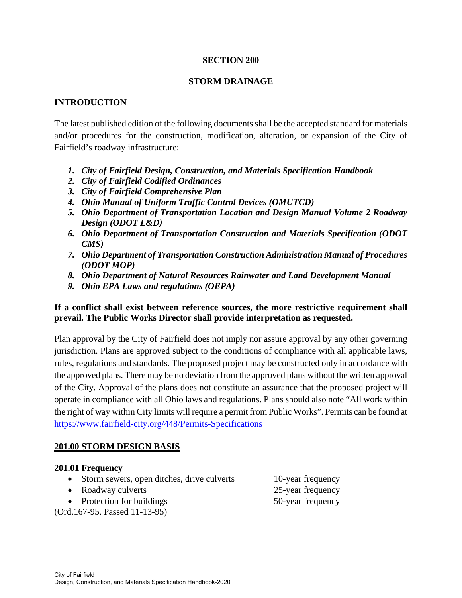#### **SECTION 200**

#### **STORM DRAINAGE**

## **INTRODUCTION**

The latest published edition of the following documents shall be the accepted standard for materials and/or procedures for the construction, modification, alteration, or expansion of the City of Fairfield's roadway infrastructure:

- *1. City of Fairfield Design, Construction, and Materials Specification Handbook*
- *2. City of Fairfield Codified Ordinances*
- *3. City of Fairfield Comprehensive Plan*
- *4. Ohio Manual of Uniform Traffic Control Devices (OMUTCD)*
- *5. Ohio Department of Transportation Location and Design Manual Volume 2 Roadway Design (ODOT L&D)*
- *6. Ohio Department of Transportation Construction and Materials Specification (ODOT CMS)*
- *7. Ohio Department of Transportation Construction Administration Manual of Procedures (ODOT MOP)*
- *8. Ohio Department of Natural Resources Rainwater and Land Development Manual*
- *9. Ohio EPA Laws and regulations (OEPA)*

## **If a conflict shall exist between reference sources, the more restrictive requirement shall prevail. The Public Works Director shall provide interpretation as requested.**

Plan approval by the City of Fairfield does not imply nor assure approval by any other governing jurisdiction. Plans are approved subject to the conditions of compliance with all applicable laws, rules, regulations and standards. The proposed project may be constructed only in accordance with the approved plans. There may be no deviation from the approved plans without the written approval of the City. Approval of the plans does not constitute an assurance that the proposed project will operate in compliance with all Ohio laws and regulations. Plans should also note "All work within the right of way within City limits will require a permit from Public Works". Permits can be found at https://www.fairfield-city.org/448/Permits-Specifications

#### **201.00 STORM DESIGN BASIS**

#### **201.01 Frequency**

- Storm sewers, open ditches, drive culverts 10-year frequency
- Roadway culverts 25-year frequency
- Protection for buildings 50-year frequency

(Ord.167-95. Passed 11-13-95)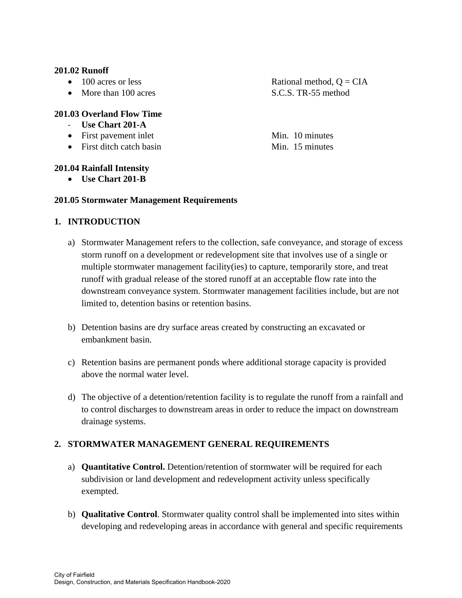#### **201.02 Runoff**

- 
- More than 100 acres S.C.S. TR-55 method

#### **201.03 Overland Flow Time**

- ‐ **Use Chart 201-A**
- First pavement inlet Min. 10 minutes
- First ditch catch basin Min. 15 minutes

#### **201.04 Rainfall Intensity**

**Use Chart 201-B**

#### **201.05 Stormwater Management Requirements**

#### **1. INTRODUCTION**

- a) Stormwater Management refers to the collection, safe conveyance, and storage of excess storm runoff on a development or redevelopment site that involves use of a single or multiple stormwater management facility(ies) to capture, temporarily store, and treat runoff with gradual release of the stored runoff at an acceptable flow rate into the downstream conveyance system. Stormwater management facilities include, but are not limited to, detention basins or retention basins.
- b) Detention basins are dry surface areas created by constructing an excavated or embankment basin.
- c) Retention basins are permanent ponds where additional storage capacity is provided above the normal water level.
- d) The objective of a detention/retention facility is to regulate the runoff from a rainfall and to control discharges to downstream areas in order to reduce the impact on downstream drainage systems.

## **2. STORMWATER MANAGEMENT GENERAL REQUIREMENTS**

- a) **Quantitative Control.** Detention/retention of stormwater will be required for each subdivision or land development and redevelopment activity unless specifically exempted.
- b) **Qualitative Control**. Stormwater quality control shall be implemented into sites within developing and redeveloping areas in accordance with general and specific requirements

 $\bullet$  100 acres or less Rational method,  $Q = CIA$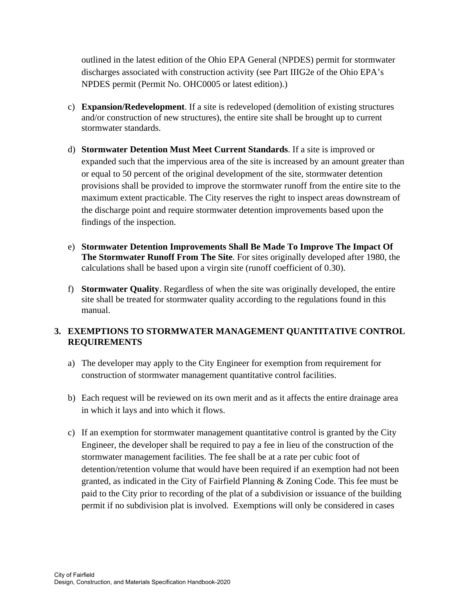outlined in the latest edition of the Ohio EPA General (NPDES) permit for stormwater discharges associated with construction activity (see Part IIIG2e of the Ohio EPA's NPDES permit (Permit No. OHC0005 or latest edition).)

- c) **Expansion/Redevelopment**. If a site is redeveloped (demolition of existing structures and/or construction of new structures), the entire site shall be brought up to current stormwater standards.
- d) **Stormwater Detention Must Meet Current Standards**. If a site is improved or expanded such that the impervious area of the site is increased by an amount greater than or equal to 50 percent of the original development of the site, stormwater detention provisions shall be provided to improve the stormwater runoff from the entire site to the maximum extent practicable. The City reserves the right to inspect areas downstream of the discharge point and require stormwater detention improvements based upon the findings of the inspection.
- e) **Stormwater Detention Improvements Shall Be Made To Improve The Impact Of The Stormwater Runoff From The Site**. For sites originally developed after 1980, the calculations shall be based upon a virgin site (runoff coefficient of 0.30).
- f) **Stormwater Quality**. Regardless of when the site was originally developed, the entire site shall be treated for stormwater quality according to the regulations found in this manual.

# **3. EXEMPTIONS TO STORMWATER MANAGEMENT QUANTITATIVE CONTROL REQUIREMENTS**

- a) The developer may apply to the City Engineer for exemption from requirement for construction of stormwater management quantitative control facilities.
- b) Each request will be reviewed on its own merit and as it affects the entire drainage area in which it lays and into which it flows.
- c) If an exemption for stormwater management quantitative control is granted by the City Engineer, the developer shall be required to pay a fee in lieu of the construction of the stormwater management facilities. The fee shall be at a rate per cubic foot of detention/retention volume that would have been required if an exemption had not been granted, as indicated in the City of Fairfield Planning & Zoning Code. This fee must be paid to the City prior to recording of the plat of a subdivision or issuance of the building permit if no subdivision plat is involved. Exemptions will only be considered in cases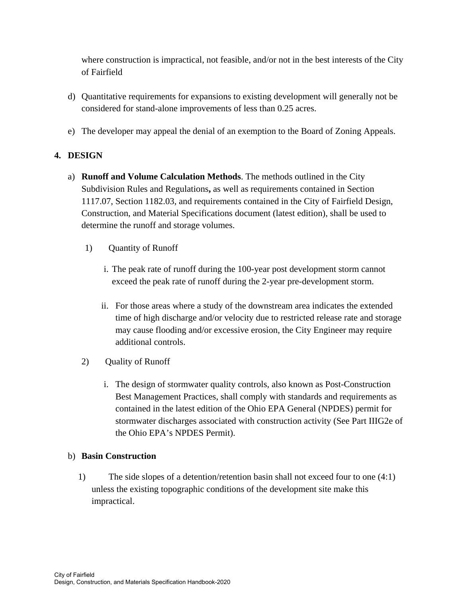where construction is impractical, not feasible, and/or not in the best interests of the City of Fairfield

- d) Quantitative requirements for expansions to existing development will generally not be considered for stand-alone improvements of less than 0.25 acres.
- e) The developer may appeal the denial of an exemption to the Board of Zoning Appeals.

# **4. DESIGN**

- a) **Runoff and Volume Calculation Methods**. The methods outlined in the City Subdivision Rules and Regulations**,** as well as requirements contained in Section 1117.07, Section 1182.03, and requirements contained in the City of Fairfield Design, Construction, and Material Specifications document (latest edition), shall be used to determine the runoff and storage volumes.
	- 1) Quantity of Runoff
		- i. The peak rate of runoff during the 100-year post development storm cannot exceed the peak rate of runoff during the 2-year pre-development storm.
		- ii. For those areas where a study of the downstream area indicates the extended time of high discharge and/or velocity due to restricted release rate and storage may cause flooding and/or excessive erosion, the City Engineer may require additional controls.
	- 2) Quality of Runoff
		- i. The design of stormwater quality controls, also known as Post-Construction Best Management Practices, shall comply with standards and requirements as contained in the latest edition of the Ohio EPA General (NPDES) permit for stormwater discharges associated with construction activity (See Part IIIG2e of the Ohio EPA's NPDES Permit).

## b) **Basin Construction**

1) The side slopes of a detention/retention basin shall not exceed four to one (4:1) unless the existing topographic conditions of the development site make this impractical.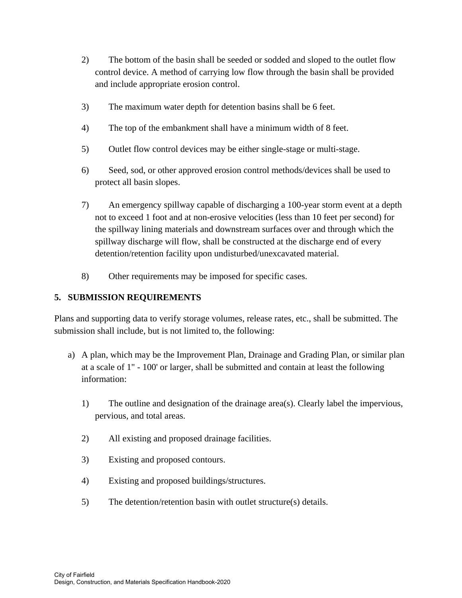- 2) The bottom of the basin shall be seeded or sodded and sloped to the outlet flow control device. A method of carrying low flow through the basin shall be provided and include appropriate erosion control.
- 3) The maximum water depth for detention basins shall be 6 feet.
- 4) The top of the embankment shall have a minimum width of 8 feet.
- 5) Outlet flow control devices may be either single-stage or multi-stage.
- 6) Seed, sod, or other approved erosion control methods/devices shall be used to protect all basin slopes.
- 7) An emergency spillway capable of discharging a 100-year storm event at a depth not to exceed 1 foot and at non-erosive velocities (less than 10 feet per second) for the spillway lining materials and downstream surfaces over and through which the spillway discharge will flow, shall be constructed at the discharge end of every detention/retention facility upon undisturbed/unexcavated material.
- 8) Other requirements may be imposed for specific cases.

# **5. SUBMISSION REQUIREMENTS**

Plans and supporting data to verify storage volumes, release rates, etc., shall be submitted. The submission shall include, but is not limited to, the following:

- a) A plan, which may be the Improvement Plan, Drainage and Grading Plan, or similar plan at a scale of 1" - 100' or larger, shall be submitted and contain at least the following information:
	- 1) The outline and designation of the drainage area(s). Clearly label the impervious, pervious, and total areas.
	- 2) All existing and proposed drainage facilities.
	- 3) Existing and proposed contours.
	- 4) Existing and proposed buildings/structures.
	- 5) The detention/retention basin with outlet structure(s) details.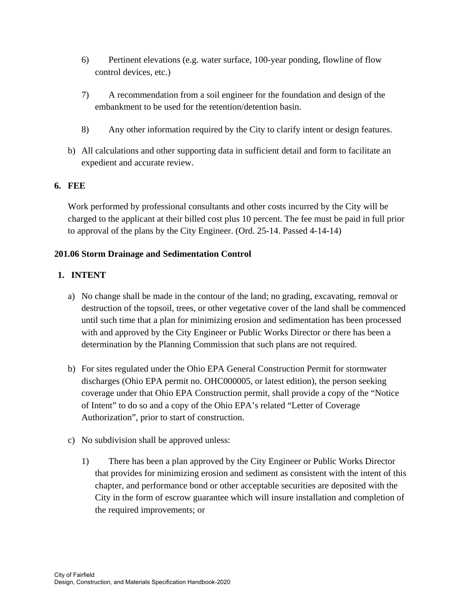- 6) Pertinent elevations (e.g. water surface, 100-year ponding, flowline of flow control devices, etc.)
- 7) A recommendation from a soil engineer for the foundation and design of the embankment to be used for the retention/detention basin.
- 8) Any other information required by the City to clarify intent or design features.
- b) All calculations and other supporting data in sufficient detail and form to facilitate an expedient and accurate review.

# **6. FEE**

Work performed by professional consultants and other costs incurred by the City will be charged to the applicant at their billed cost plus 10 percent. The fee must be paid in full prior to approval of the plans by the City Engineer. (Ord. 25-14. Passed 4-14-14)

# **201.06 Storm Drainage and Sedimentation Control**

# **1. INTENT**

- a) No change shall be made in the contour of the land; no grading, excavating, removal or destruction of the topsoil, trees, or other vegetative cover of the land shall be commenced until such time that a plan for minimizing erosion and sedimentation has been processed with and approved by the City Engineer or Public Works Director or there has been a determination by the Planning Commission that such plans are not required.
- b) For sites regulated under the Ohio EPA General Construction Permit for stormwater discharges (Ohio EPA permit no. OHC000005, or latest edition), the person seeking coverage under that Ohio EPA Construction permit, shall provide a copy of the "Notice of Intent" to do so and a copy of the Ohio EPA's related "Letter of Coverage Authorization", prior to start of construction.
- c) No subdivision shall be approved unless:
	- 1) There has been a plan approved by the City Engineer or Public Works Director that provides for minimizing erosion and sediment as consistent with the intent of this chapter, and performance bond or other acceptable securities are deposited with the City in the form of escrow guarantee which will insure installation and completion of the required improvements; or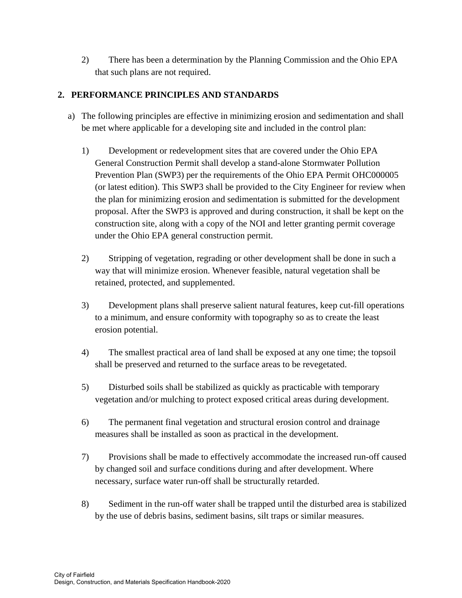2) There has been a determination by the Planning Commission and the Ohio EPA that such plans are not required.

# **2. PERFORMANCE PRINCIPLES AND STANDARDS**

- a) The following principles are effective in minimizing erosion and sedimentation and shall be met where applicable for a developing site and included in the control plan:
	- 1) Development or redevelopment sites that are covered under the Ohio EPA General Construction Permit shall develop a stand-alone Stormwater Pollution Prevention Plan (SWP3) per the requirements of the Ohio EPA Permit OHC000005 (or latest edition). This SWP3 shall be provided to the City Engineer for review when the plan for minimizing erosion and sedimentation is submitted for the development proposal. After the SWP3 is approved and during construction, it shall be kept on the construction site, along with a copy of the NOI and letter granting permit coverage under the Ohio EPA general construction permit.
	- 2) Stripping of vegetation, regrading or other development shall be done in such a way that will minimize erosion. Whenever feasible, natural vegetation shall be retained, protected, and supplemented.
	- 3) Development plans shall preserve salient natural features, keep cut-fill operations to a minimum, and ensure conformity with topography so as to create the least erosion potential.
	- 4) The smallest practical area of land shall be exposed at any one time; the topsoil shall be preserved and returned to the surface areas to be revegetated.
	- 5) Disturbed soils shall be stabilized as quickly as practicable with temporary vegetation and/or mulching to protect exposed critical areas during development.
	- 6) The permanent final vegetation and structural erosion control and drainage measures shall be installed as soon as practical in the development.
	- 7) Provisions shall be made to effectively accommodate the increased run-off caused by changed soil and surface conditions during and after development. Where necessary, surface water run-off shall be structurally retarded.
	- 8) Sediment in the run-off water shall be trapped until the disturbed area is stabilized by the use of debris basins, sediment basins, silt traps or similar measures.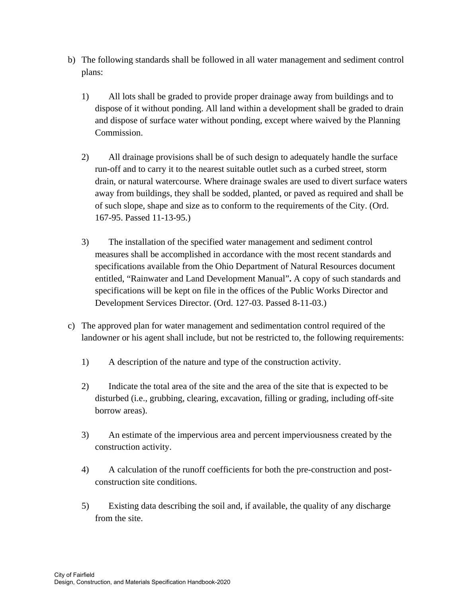- b) The following standards shall be followed in all water management and sediment control plans:
	- 1) All lots shall be graded to provide proper drainage away from buildings and to dispose of it without ponding. All land within a development shall be graded to drain and dispose of surface water without ponding, except where waived by the Planning Commission.
	- 2) All drainage provisions shall be of such design to adequately handle the surface run-off and to carry it to the nearest suitable outlet such as a curbed street, storm drain, or natural watercourse. Where drainage swales are used to divert surface waters away from buildings, they shall be sodded, planted, or paved as required and shall be of such slope, shape and size as to conform to the requirements of the City. (Ord. 167-95. Passed 11-13-95.)
	- 3) The installation of the specified water management and sediment control measures shall be accomplished in accordance with the most recent standards and specifications available from the Ohio Department of Natural Resources document entitled, "Rainwater and Land Development Manual"**.** A copy of such standards and specifications will be kept on file in the offices of the Public Works Director and Development Services Director. (Ord. 127-03. Passed 8-11-03.)
- c) The approved plan for water management and sedimentation control required of the landowner or his agent shall include, but not be restricted to, the following requirements:
	- 1) A description of the nature and type of the construction activity.
	- 2) Indicate the total area of the site and the area of the site that is expected to be disturbed (i.e., grubbing, clearing, excavation, filling or grading, including off-site borrow areas).
	- 3) An estimate of the impervious area and percent imperviousness created by the construction activity.
	- 4) A calculation of the runoff coefficients for both the pre-construction and postconstruction site conditions.
	- 5) Existing data describing the soil and, if available, the quality of any discharge from the site.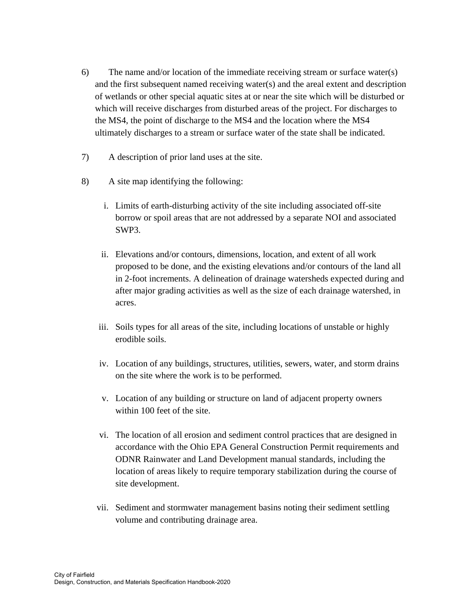- 6) The name and/or location of the immediate receiving stream or surface water(s) and the first subsequent named receiving water(s) and the areal extent and description of wetlands or other special aquatic sites at or near the site which will be disturbed or which will receive discharges from disturbed areas of the project. For discharges to the MS4, the point of discharge to the MS4 and the location where the MS4 ultimately discharges to a stream or surface water of the state shall be indicated.
- 7) A description of prior land uses at the site.
- 8) A site map identifying the following:
	- i. Limits of earth-disturbing activity of the site including associated off-site borrow or spoil areas that are not addressed by a separate NOI and associated SWP3.
	- ii. Elevations and/or contours, dimensions, location, and extent of all work proposed to be done, and the existing elevations and/or contours of the land all in 2-foot increments. A delineation of drainage watersheds expected during and after major grading activities as well as the size of each drainage watershed, in acres.
	- iii. Soils types for all areas of the site, including locations of unstable or highly erodible soils.
	- iv. Location of any buildings, structures, utilities, sewers, water, and storm drains on the site where the work is to be performed.
	- v. Location of any building or structure on land of adjacent property owners within 100 feet of the site.
	- vi. The location of all erosion and sediment control practices that are designed in accordance with the Ohio EPA General Construction Permit requirements and ODNR Rainwater and Land Development manual standards, including the location of areas likely to require temporary stabilization during the course of site development.
	- vii. Sediment and stormwater management basins noting their sediment settling volume and contributing drainage area.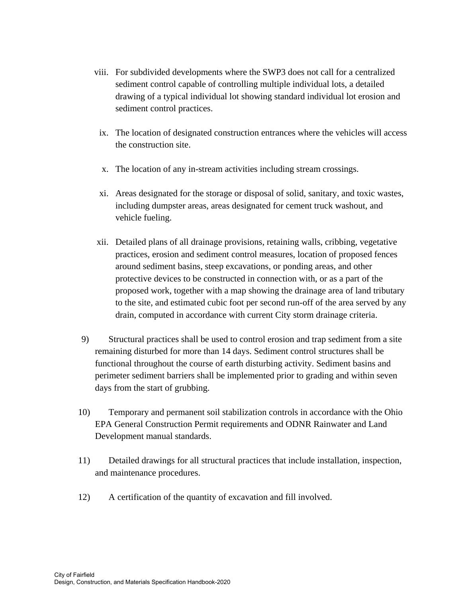- viii. For subdivided developments where the SWP3 does not call for a centralized sediment control capable of controlling multiple individual lots, a detailed drawing of a typical individual lot showing standard individual lot erosion and sediment control practices.
- ix. The location of designated construction entrances where the vehicles will access the construction site.
- x. The location of any in-stream activities including stream crossings.
- xi. Areas designated for the storage or disposal of solid, sanitary, and toxic wastes, including dumpster areas, areas designated for cement truck washout, and vehicle fueling.
- xii. Detailed plans of all drainage provisions, retaining walls, cribbing, vegetative practices, erosion and sediment control measures, location of proposed fences around sediment basins, steep excavations, or ponding areas, and other protective devices to be constructed in connection with, or as a part of the proposed work, together with a map showing the drainage area of land tributary to the site, and estimated cubic foot per second run-off of the area served by any drain, computed in accordance with current City storm drainage criteria.
- 9) Structural practices shall be used to control erosion and trap sediment from a site remaining disturbed for more than 14 days. Sediment control structures shall be functional throughout the course of earth disturbing activity. Sediment basins and perimeter sediment barriers shall be implemented prior to grading and within seven days from the start of grubbing.
- 10) Temporary and permanent soil stabilization controls in accordance with the Ohio EPA General Construction Permit requirements and ODNR Rainwater and Land Development manual standards.
- 11) Detailed drawings for all structural practices that include installation, inspection, and maintenance procedures.
- 12) A certification of the quantity of excavation and fill involved.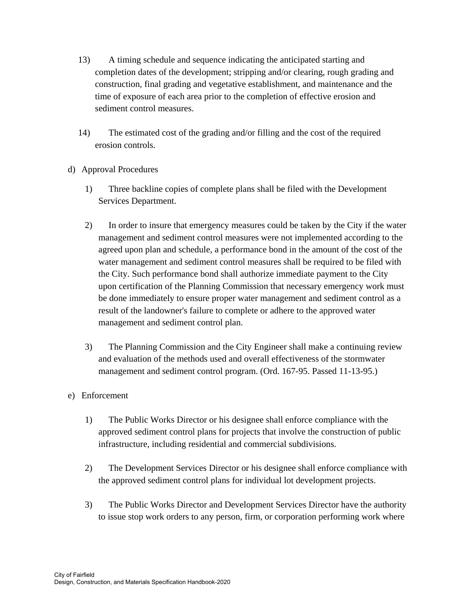- 13) A timing schedule and sequence indicating the anticipated starting and completion dates of the development; stripping and/or clearing, rough grading and construction, final grading and vegetative establishment, and maintenance and the time of exposure of each area prior to the completion of effective erosion and sediment control measures.
- 14) The estimated cost of the grading and/or filling and the cost of the required erosion controls.
- d) Approval Procedures
	- 1) Three backline copies of complete plans shall be filed with the Development Services Department.
	- 2) In order to insure that emergency measures could be taken by the City if the water management and sediment control measures were not implemented according to the agreed upon plan and schedule, a performance bond in the amount of the cost of the water management and sediment control measures shall be required to be filed with the City. Such performance bond shall authorize immediate payment to the City upon certification of the Planning Commission that necessary emergency work must be done immediately to ensure proper water management and sediment control as a result of the landowner's failure to complete or adhere to the approved water management and sediment control plan.
	- 3) The Planning Commission and the City Engineer shall make a continuing review and evaluation of the methods used and overall effectiveness of the stormwater management and sediment control program. (Ord. 167-95. Passed 11-13-95.)
- e) Enforcement
	- 1) The Public Works Director or his designee shall enforce compliance with the approved sediment control plans for projects that involve the construction of public infrastructure, including residential and commercial subdivisions.
	- 2) The Development Services Director or his designee shall enforce compliance with the approved sediment control plans for individual lot development projects.
	- 3) The Public Works Director and Development Services Director have the authority to issue stop work orders to any person, firm, or corporation performing work where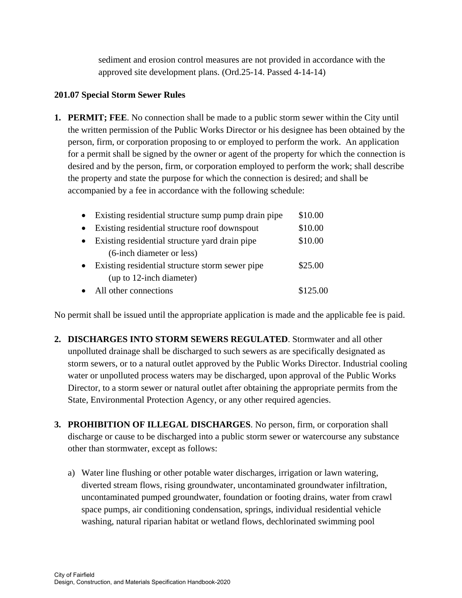sediment and erosion control measures are not provided in accordance with the approved site development plans. (Ord.25-14. Passed 4-14-14)

## **201.07 Special Storm Sewer Rules**

**1. PERMIT; FEE**. No connection shall be made to a public storm sewer within the City until the written permission of the Public Works Director or his designee has been obtained by the person, firm, or corporation proposing to or employed to perform the work. An application for a permit shall be signed by the owner or agent of the property for which the connection is desired and by the person, firm, or corporation employed to perform the work; shall describe the property and state the purpose for which the connection is desired; and shall be accompanied by a fee in accordance with the following schedule:

| $\bullet$ | Existing residential structure sump pump drain pipe | \$10.00  |
|-----------|-----------------------------------------------------|----------|
| $\bullet$ | Existing residential structure roof downspout       | \$10.00  |
| $\bullet$ | Existing residential structure yard drain pipe      | \$10.00  |
|           | (6-inch diameter or less)                           |          |
| $\bullet$ | Existing residential structure storm sewer pipe     | \$25.00  |
|           | (up to 12-inch diameter)                            |          |
|           | All other connections                               | \$125.00 |

No permit shall be issued until the appropriate application is made and the applicable fee is paid.

- **2. DISCHARGES INTO STORM SEWERS REGULATED**. Stormwater and all other unpolluted drainage shall be discharged to such sewers as are specifically designated as storm sewers, or to a natural outlet approved by the Public Works Director. Industrial cooling water or unpolluted process waters may be discharged, upon approval of the Public Works Director, to a storm sewer or natural outlet after obtaining the appropriate permits from the State, Environmental Protection Agency, or any other required agencies.
- **3. PROHIBITION OF ILLEGAL DISCHARGES**. No person, firm, or corporation shall discharge or cause to be discharged into a public storm sewer or watercourse any substance other than stormwater, except as follows:
	- a) Water line flushing or other potable water discharges, irrigation or lawn watering, diverted stream flows, rising groundwater, uncontaminated groundwater infiltration, uncontaminated pumped groundwater, foundation or footing drains, water from crawl space pumps, air conditioning condensation, springs, individual residential vehicle washing, natural riparian habitat or wetland flows, dechlorinated swimming pool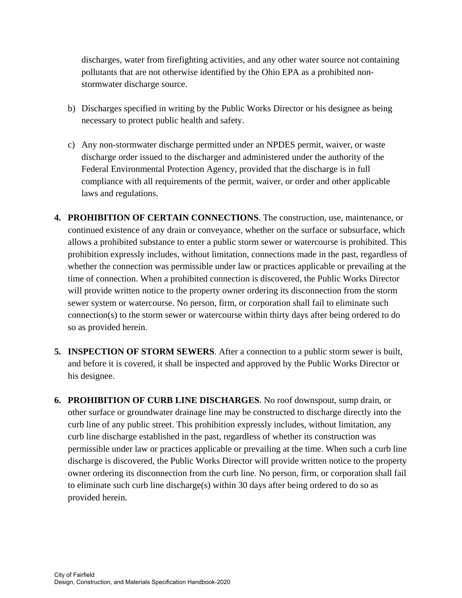discharges, water from firefighting activities, and any other water source not containing pollutants that are not otherwise identified by the Ohio EPA as a prohibited nonstormwater discharge source.

- b) Discharges specified in writing by the Public Works Director or his designee as being necessary to protect public health and safety.
- c) Any non-stormwater discharge permitted under an NPDES permit, waiver, or waste discharge order issued to the discharger and administered under the authority of the Federal Environmental Protection Agency, provided that the discharge is in full compliance with all requirements of the permit, waiver, or order and other applicable laws and regulations.
- **4. PROHIBITION OF CERTAIN CONNECTIONS**. The construction, use, maintenance, or continued existence of any drain or conveyance, whether on the surface or subsurface, which allows a prohibited substance to enter a public storm sewer or watercourse is prohibited. This prohibition expressly includes, without limitation, connections made in the past, regardless of whether the connection was permissible under law or practices applicable or prevailing at the time of connection. When a prohibited connection is discovered, the Public Works Director will provide written notice to the property owner ordering its disconnection from the storm sewer system or watercourse. No person, firm, or corporation shall fail to eliminate such connection(s) to the storm sewer or watercourse within thirty days after being ordered to do so as provided herein.
- **5. INSPECTION OF STORM SEWERS**. After a connection to a public storm sewer is built, and before it is covered, it shall be inspected and approved by the Public Works Director or his designee.
- **6. PROHIBITION OF CURB LINE DISCHARGES**. No roof downspout, sump drain, or other surface or groundwater drainage line may be constructed to discharge directly into the curb line of any public street. This prohibition expressly includes, without limitation, any curb line discharge established in the past, regardless of whether its construction was permissible under law or practices applicable or prevailing at the time. When such a curb line discharge is discovered, the Public Works Director will provide written notice to the property owner ordering its disconnection from the curb line. No person, firm, or corporation shall fail to eliminate such curb line discharge(s) within 30 days after being ordered to do so as provided herein.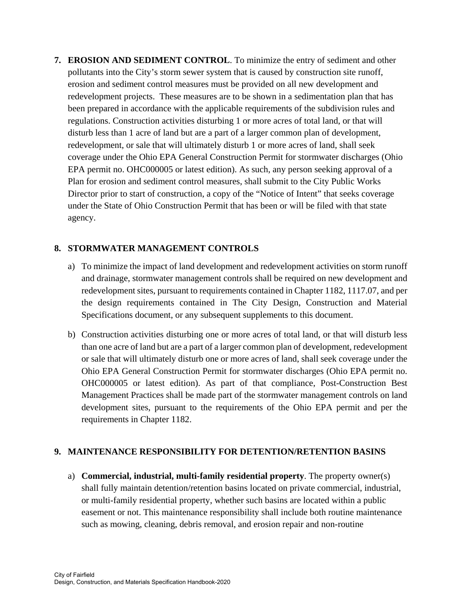**7. EROSION AND SEDIMENT CONTROL**. To minimize the entry of sediment and other pollutants into the City's storm sewer system that is caused by construction site runoff, erosion and sediment control measures must be provided on all new development and redevelopment projects. These measures are to be shown in a sedimentation plan that has been prepared in accordance with the applicable requirements of the subdivision rules and regulations. Construction activities disturbing 1 or more acres of total land, or that will disturb less than 1 acre of land but are a part of a larger common plan of development, redevelopment, or sale that will ultimately disturb 1 or more acres of land, shall seek coverage under the Ohio EPA General Construction Permit for stormwater discharges (Ohio EPA permit no. OHC000005 or latest edition). As such, any person seeking approval of a Plan for erosion and sediment control measures, shall submit to the City Public Works Director prior to start of construction, a copy of the "Notice of Intent" that seeks coverage under the State of Ohio Construction Permit that has been or will be filed with that state agency.

# **8. STORMWATER MANAGEMENT CONTROLS**

- a) To minimize the impact of land development and redevelopment activities on storm runoff and drainage, stormwater management controls shall be required on new development and redevelopment sites, pursuant to requirements contained in Chapter 1182, 1117.07, and per the design requirements contained in The City Design, Construction and Material Specifications document, or any subsequent supplements to this document.
- b) Construction activities disturbing one or more acres of total land, or that will disturb less than one acre of land but are a part of a larger common plan of development, redevelopment or sale that will ultimately disturb one or more acres of land, shall seek coverage under the Ohio EPA General Construction Permit for stormwater discharges (Ohio EPA permit no. OHC000005 or latest edition). As part of that compliance, Post-Construction Best Management Practices shall be made part of the stormwater management controls on land development sites, pursuant to the requirements of the Ohio EPA permit and per the requirements in Chapter 1182.

## **9. MAINTENANCE RESPONSIBILITY FOR DETENTION/RETENTION BASINS**

a) **Commercial, industrial, multi-family residential property**. The property owner(s) shall fully maintain detention/retention basins located on private commercial, industrial, or multi-family residential property, whether such basins are located within a public easement or not. This maintenance responsibility shall include both routine maintenance such as mowing, cleaning, debris removal, and erosion repair and non-routine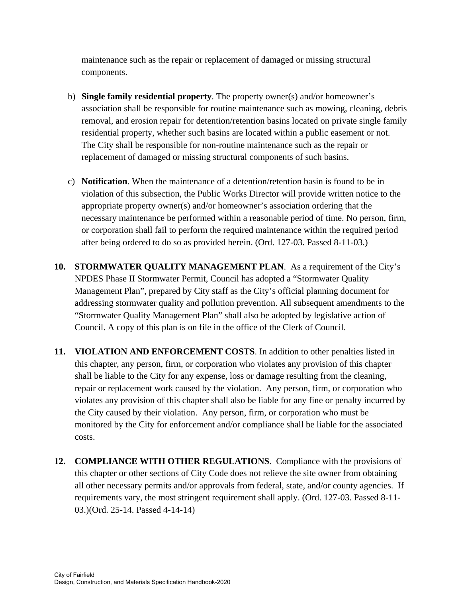maintenance such as the repair or replacement of damaged or missing structural components.

- b) **Single family residential property**. The property owner(s) and/or homeowner's association shall be responsible for routine maintenance such as mowing, cleaning, debris removal, and erosion repair for detention/retention basins located on private single family residential property, whether such basins are located within a public easement or not. The City shall be responsible for non-routine maintenance such as the repair or replacement of damaged or missing structural components of such basins.
- c) **Notification**. When the maintenance of a detention/retention basin is found to be in violation of this subsection, the Public Works Director will provide written notice to the appropriate property owner(s) and/or homeowner's association ordering that the necessary maintenance be performed within a reasonable period of time. No person, firm, or corporation shall fail to perform the required maintenance within the required period after being ordered to do so as provided herein. (Ord. 127-03. Passed 8-11-03.)
- **10. STORMWATER QUALITY MANAGEMENT PLAN**. As a requirement of the City's NPDES Phase II Stormwater Permit, Council has adopted a "Stormwater Quality Management Plan", prepared by City staff as the City's official planning document for addressing stormwater quality and pollution prevention. All subsequent amendments to the "Stormwater Quality Management Plan" shall also be adopted by legislative action of Council. A copy of this plan is on file in the office of the Clerk of Council.
- **11. VIOLATION AND ENFORCEMENT COSTS**. In addition to other penalties listed in this chapter, any person, firm, or corporation who violates any provision of this chapter shall be liable to the City for any expense, loss or damage resulting from the cleaning, repair or replacement work caused by the violation. Any person, firm, or corporation who violates any provision of this chapter shall also be liable for any fine or penalty incurred by the City caused by their violation. Any person, firm, or corporation who must be monitored by the City for enforcement and/or compliance shall be liable for the associated costs.
- **12. COMPLIANCE WITH OTHER REGULATIONS**. Compliance with the provisions of this chapter or other sections of City Code does not relieve the site owner from obtaining all other necessary permits and/or approvals from federal, state, and/or county agencies. If requirements vary, the most stringent requirement shall apply. (Ord. 127-03. Passed 8-11- 03.)(Ord. 25-14. Passed 4-14-14)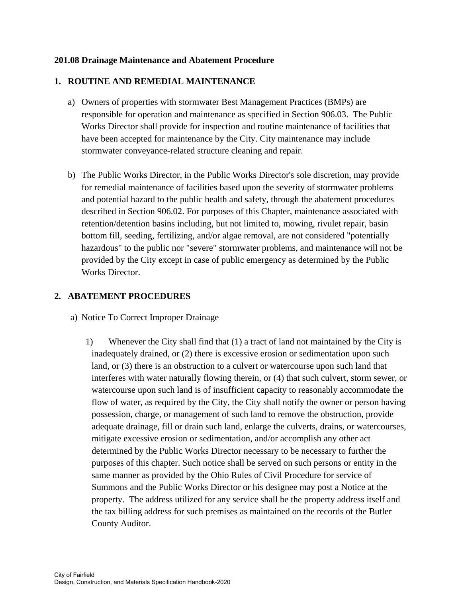#### **201.08 Drainage Maintenance and Abatement Procedure**

## **1. ROUTINE AND REMEDIAL MAINTENANCE**

- a) Owners of properties with stormwater Best Management Practices (BMPs) are responsible for operation and maintenance as specified in Section 906.03. The Public Works Director shall provide for inspection and routine maintenance of facilities that have been accepted for maintenance by the City. City maintenance may include stormwater conveyance-related structure cleaning and repair.
- b) The Public Works Director, in the Public Works Director's sole discretion, may provide for remedial maintenance of facilities based upon the severity of stormwater problems and potential hazard to the public health and safety, through the abatement procedures described in Section 906.02. For purposes of this Chapter, maintenance associated with retention/detention basins including, but not limited to, mowing, rivulet repair, basin bottom fill, seeding, fertilizing, and/or algae removal, are not considered "potentially hazardous" to the public nor "severe" stormwater problems, and maintenance will not be provided by the City except in case of public emergency as determined by the Public Works Director.

#### **2. ABATEMENT PROCEDURES**

- a) Notice To Correct Improper Drainage
	- 1) Whenever the City shall find that (1) a tract of land not maintained by the City is inadequately drained, or (2) there is excessive erosion or sedimentation upon such land, or (3) there is an obstruction to a culvert or watercourse upon such land that interferes with water naturally flowing therein, or (4) that such culvert, storm sewer, or watercourse upon such land is of insufficient capacity to reasonably accommodate the flow of water, as required by the City, the City shall notify the owner or person having possession, charge, or management of such land to remove the obstruction, provide adequate drainage, fill or drain such land, enlarge the culverts, drains, or watercourses, mitigate excessive erosion or sedimentation, and/or accomplish any other act determined by the Public Works Director necessary to be necessary to further the purposes of this chapter. Such notice shall be served on such persons or entity in the same manner as provided by the Ohio Rules of Civil Procedure for service of Summons and the Public Works Director or his designee may post a Notice at the property. The address utilized for any service shall be the property address itself and the tax billing address for such premises as maintained on the records of the Butler County Auditor.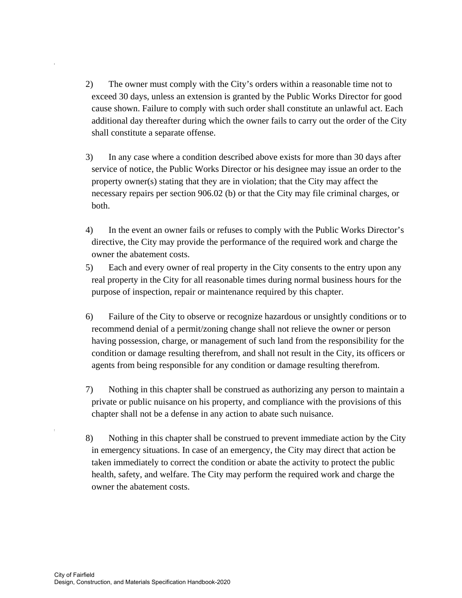- 2) The owner must comply with the City's orders within a reasonable time not to exceed 30 days, unless an extension is granted by the Public Works Director for good cause shown. Failure to comply with such order shall constitute an unlawful act. Each additional day thereafter during which the owner fails to carry out the order of the City shall constitute a separate offense.
- 3) In any case where a condition described above exists for more than 30 days after service of notice, the Public Works Director or his designee may issue an order to the property owner(s) stating that they are in violation; that the City may affect the necessary repairs per section 906.02 (b) or that the City may file criminal charges, or both.
- 4) In the event an owner fails or refuses to comply with the Public Works Director's directive, the City may provide the performance of the required work and charge the owner the abatement costs.
- 5) Each and every owner of real property in the City consents to the entry upon any real property in the City for all reasonable times during normal business hours for the purpose of inspection, repair or maintenance required by this chapter.
- 6) Failure of the City to observe or recognize hazardous or unsightly conditions or to recommend denial of a permit/zoning change shall not relieve the owner or person having possession, charge, or management of such land from the responsibility for the condition or damage resulting therefrom, and shall not result in the City, its officers or agents from being responsible for any condition or damage resulting therefrom.
- 7) Nothing in this chapter shall be construed as authorizing any person to maintain a private or public nuisance on his property, and compliance with the provisions of this chapter shall not be a defense in any action to abate such nuisance.
- 8) Nothing in this chapter shall be construed to prevent immediate action by the City in emergency situations. In case of an emergency, the City may direct that action be taken immediately to correct the condition or abate the activity to protect the public health, safety, and welfare. The City may perform the required work and charge the owner the abatement costs.

i<br>L

i<br>L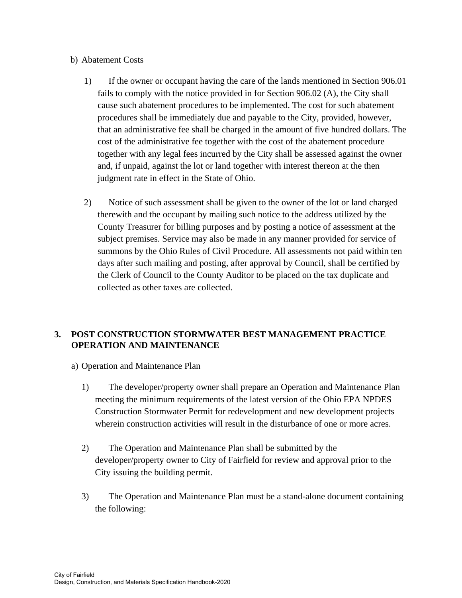#### b) Abatement Costs

- 1) If the owner or occupant having the care of the lands mentioned in Section 906.01 fails to comply with the notice provided in for Section 906.02 (A), the City shall cause such abatement procedures to be implemented. The cost for such abatement procedures shall be immediately due and payable to the City, provided, however, that an administrative fee shall be charged in the amount of five hundred dollars. The cost of the administrative fee together with the cost of the abatement procedure together with any legal fees incurred by the City shall be assessed against the owner and, if unpaid, against the lot or land together with interest thereon at the then judgment rate in effect in the State of Ohio.
- 2) Notice of such assessment shall be given to the owner of the lot or land charged therewith and the occupant by mailing such notice to the address utilized by the County Treasurer for billing purposes and by posting a notice of assessment at the subject premises. Service may also be made in any manner provided for service of summons by the Ohio Rules of Civil Procedure. All assessments not paid within ten days after such mailing and posting, after approval by Council, shall be certified by the Clerk of Council to the County Auditor to be placed on the tax duplicate and collected as other taxes are collected.

# **3. POST CONSTRUCTION STORMWATER BEST MANAGEMENT PRACTICE OPERATION AND MAINTENANCE**

- a) Operation and Maintenance Plan
	- 1) The developer/property owner shall prepare an Operation and Maintenance Plan meeting the minimum requirements of the latest version of the Ohio EPA NPDES Construction Stormwater Permit for redevelopment and new development projects wherein construction activities will result in the disturbance of one or more acres.
	- 2) The Operation and Maintenance Plan shall be submitted by the developer/property owner to City of Fairfield for review and approval prior to the City issuing the building permit.
	- 3) The Operation and Maintenance Plan must be a stand-alone document containing the following: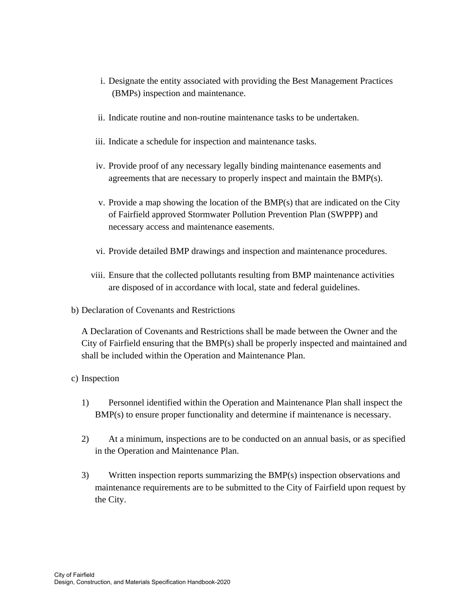- i. Designate the entity associated with providing the Best Management Practices (BMPs) inspection and maintenance.
- ii. Indicate routine and non-routine maintenance tasks to be undertaken.
- iii. Indicate a schedule for inspection and maintenance tasks.
- iv. Provide proof of any necessary legally binding maintenance easements and agreements that are necessary to properly inspect and maintain the BMP(s).
- v. Provide a map showing the location of the BMP(s) that are indicated on the City of Fairfield approved Stormwater Pollution Prevention Plan (SWPPP) and necessary access and maintenance easements.
- vi. Provide detailed BMP drawings and inspection and maintenance procedures.
- viii. Ensure that the collected pollutants resulting from BMP maintenance activities are disposed of in accordance with local, state and federal guidelines.
- b) Declaration of Covenants and Restrictions

A Declaration of Covenants and Restrictions shall be made between the Owner and the City of Fairfield ensuring that the BMP(s) shall be properly inspected and maintained and shall be included within the Operation and Maintenance Plan.

- c) Inspection
	- 1) Personnel identified within the Operation and Maintenance Plan shall inspect the BMP(s) to ensure proper functionality and determine if maintenance is necessary.
	- 2) At a minimum, inspections are to be conducted on an annual basis, or as specified in the Operation and Maintenance Plan.
	- 3) Written inspection reports summarizing the BMP(s) inspection observations and maintenance requirements are to be submitted to the City of Fairfield upon request by the City.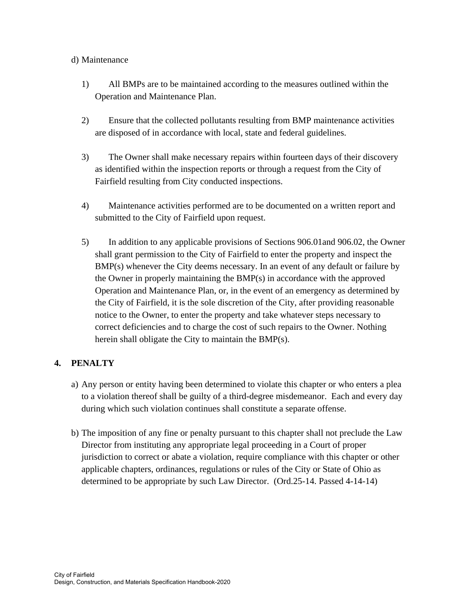#### d) Maintenance

- 1) All BMPs are to be maintained according to the measures outlined within the Operation and Maintenance Plan.
- 2) Ensure that the collected pollutants resulting from BMP maintenance activities are disposed of in accordance with local, state and federal guidelines.
- 3) The Owner shall make necessary repairs within fourteen days of their discovery as identified within the inspection reports or through a request from the City of Fairfield resulting from City conducted inspections.
- 4) Maintenance activities performed are to be documented on a written report and submitted to the City of Fairfield upon request.
- 5) In addition to any applicable provisions of Sections 906.01and 906.02, the Owner shall grant permission to the City of Fairfield to enter the property and inspect the BMP(s) whenever the City deems necessary. In an event of any default or failure by the Owner in properly maintaining the BMP(s) in accordance with the approved Operation and Maintenance Plan, or, in the event of an emergency as determined by the City of Fairfield, it is the sole discretion of the City, after providing reasonable notice to the Owner, to enter the property and take whatever steps necessary to correct deficiencies and to charge the cost of such repairs to the Owner. Nothing herein shall obligate the City to maintain the BMP(s).

# **4. PENALTY**

- a) Any person or entity having been determined to violate this chapter or who enters a plea to a violation thereof shall be guilty of a third-degree misdemeanor. Each and every day during which such violation continues shall constitute a separate offense.
- b) The imposition of any fine or penalty pursuant to this chapter shall not preclude the Law Director from instituting any appropriate legal proceeding in a Court of proper jurisdiction to correct or abate a violation, require compliance with this chapter or other applicable chapters, ordinances, regulations or rules of the City or State of Ohio as determined to be appropriate by such Law Director. (Ord.25-14. Passed 4-14-14)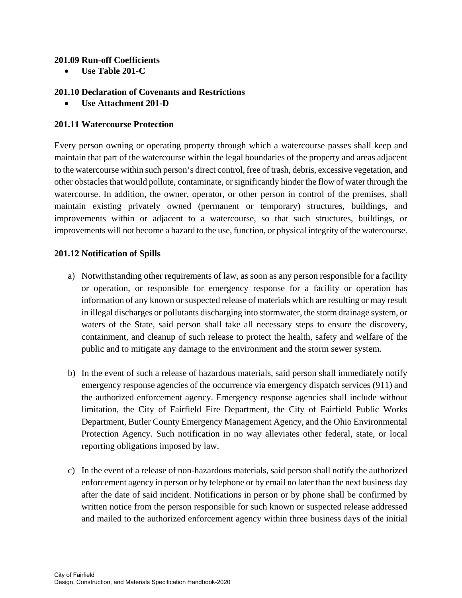#### **201.09 Run-off Coefficients**

**Use Table 201-C**

#### **201.10 Declaration of Covenants and Restrictions**

**Use Attachment 201-D**

#### **201.11 Watercourse Protection**

Every person owning or operating property through which a watercourse passes shall keep and maintain that part of the watercourse within the legal boundaries of the property and areas adjacent to the watercourse within such person's direct control, free of trash, debris, excessive vegetation, and other obstacles that would pollute, contaminate, or significantly hinder the flow of water through the watercourse. In addition, the owner, operator, or other person in control of the premises, shall maintain existing privately owned (permanent or temporary) structures, buildings, and improvements within or adjacent to a watercourse, so that such structures, buildings, or improvements will not become a hazard to the use, function, or physical integrity of the watercourse.

#### **201.12 Notification of Spills**

- a) Notwithstanding other requirements of law, as soon as any person responsible for a facility or operation, or responsible for emergency response for a facility or operation has information of any known or suspected release of materials which are resulting or may result in illegal discharges or pollutants discharging into stormwater, the storm drainage system, or waters of the State, said person shall take all necessary steps to ensure the discovery, containment, and cleanup of such release to protect the health, safety and welfare of the public and to mitigate any damage to the environment and the storm sewer system.
- b) In the event of such a release of hazardous materials, said person shall immediately notify emergency response agencies of the occurrence via emergency dispatch services (911) and the authorized enforcement agency. Emergency response agencies shall include without limitation, the City of Fairfield Fire Department, the City of Fairfield Public Works Department, Butler County Emergency Management Agency, and the Ohio Environmental Protection Agency. Such notification in no way alleviates other federal, state, or local reporting obligations imposed by law.
- c) In the event of a release of non-hazardous materials, said person shall notify the authorized enforcement agency in person or by telephone or by email no later than the next business day after the date of said incident. Notifications in person or by phone shall be confirmed by written notice from the person responsible for such known or suspected release addressed and mailed to the authorized enforcement agency within three business days of the initial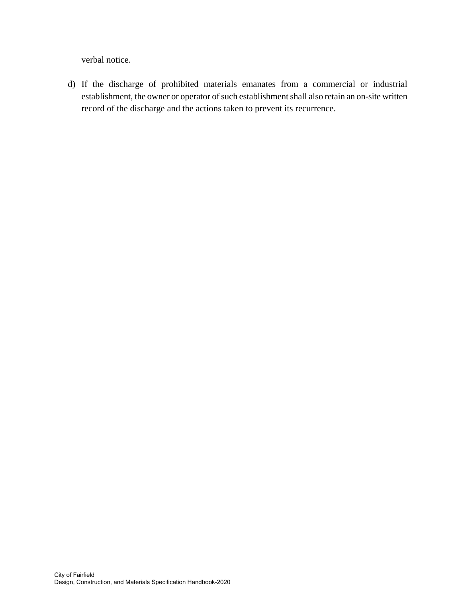verbal notice.

d) If the discharge of prohibited materials emanates from a commercial or industrial establishment, the owner or operator of such establishment shall also retain an on-site written record of the discharge and the actions taken to prevent its recurrence.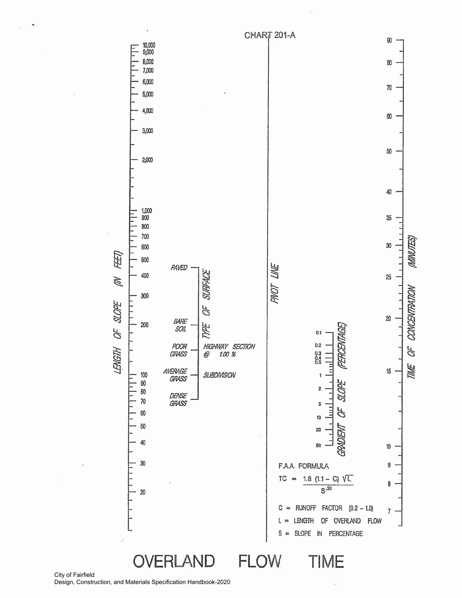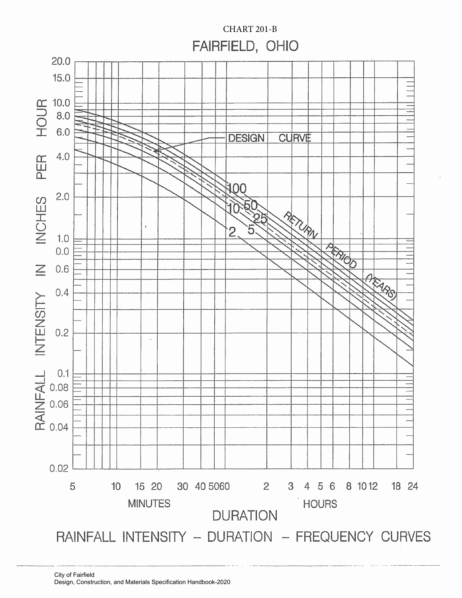

City of Fairfield Design, Construction, and Materials Specification Handbook-2020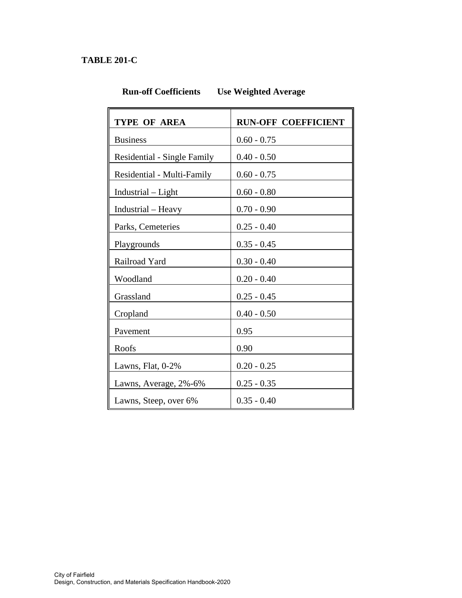# **TABLE 201-C**

| <b>TYPE OF AREA</b>         | <b>RUN-OFF COEFFICIENT</b> |
|-----------------------------|----------------------------|
| <b>Business</b>             | $0.60 - 0.75$              |
| Residential - Single Family | $0.40 - 0.50$              |
| Residential - Multi-Family  | $0.60 - 0.75$              |
| Industrial – Light          | $0.60 - 0.80$              |
| Industrial - Heavy          | $0.70 - 0.90$              |
| Parks, Cemeteries           | $0.25 - 0.40$              |
| Playgrounds                 | $0.35 - 0.45$              |
| Railroad Yard               | $0.30 - 0.40$              |
| Woodland                    | $0.20 - 0.40$              |
| Grassland                   | $0.25 - 0.45$              |
| Cropland                    | $0.40 - 0.50$              |
| Pavement                    | 0.95                       |
| Roofs                       | 0.90                       |
| Lawns, Flat, 0-2%           | $0.20 - 0.25$              |
| Lawns, Average, 2%-6%       | $0.25 - 0.35$              |
| Lawns, Steep, over 6%       | $0.35 - 0.40$              |

# **Run-off Coefficients Use Weighted Average**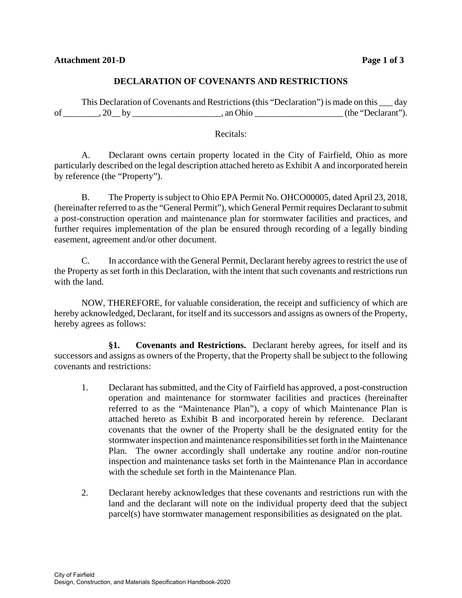#### **DECLARATION OF COVENANTS AND RESTRICTIONS**

 This Declaration of Covenants and Restrictions (this "Declaration") is made on this \_\_\_ day of 20 by an Ohio (the "Declarant").

#### Recitals:

A. Declarant owns certain property located in the City of Fairfield, Ohio as more particularly described on the legal description attached hereto as Exhibit A and incorporated herein by reference (the "Property").

B. The Property is subject to Ohio EPA Permit No. OHCO00005, dated April 23, 2018, (hereinafter referred to as the "General Permit"), which General Permit requires Declarant to submit a post-construction operation and maintenance plan for stormwater facilities and practices, and further requires implementation of the plan be ensured through recording of a legally binding easement, agreement and/or other document.

C. In accordance with the General Permit, Declarant hereby agrees to restrict the use of the Property as set forth in this Declaration, with the intent that such covenants and restrictions run with the land.

NOW, THEREFORE, for valuable consideration, the receipt and sufficiency of which are hereby acknowledged, Declarant, for itself and its successors and assigns as owners of the Property, hereby agrees as follows:

**§1. Covenants and Restrictions.** Declarant hereby agrees, for itself and its successors and assigns as owners of the Property, that the Property shall be subject to the following covenants and restrictions:

- 1. Declarant has submitted, and the City of Fairfield has approved, a post-construction operation and maintenance for stormwater facilities and practices (hereinafter referred to as the "Maintenance Plan"), a copy of which Maintenance Plan is attached hereto as Exhibit B and incorporated herein by reference. Declarant covenants that the owner of the Property shall be the designated entity for the stormwater inspection and maintenance responsibilities set forth in the Maintenance Plan. The owner accordingly shall undertake any routine and/or non-routine inspection and maintenance tasks set forth in the Maintenance Plan in accordance with the schedule set forth in the Maintenance Plan.
- 2. Declarant hereby acknowledges that these covenants and restrictions run with the land and the declarant will note on the individual property deed that the subject parcel(s) have stormwater management responsibilities as designated on the plat.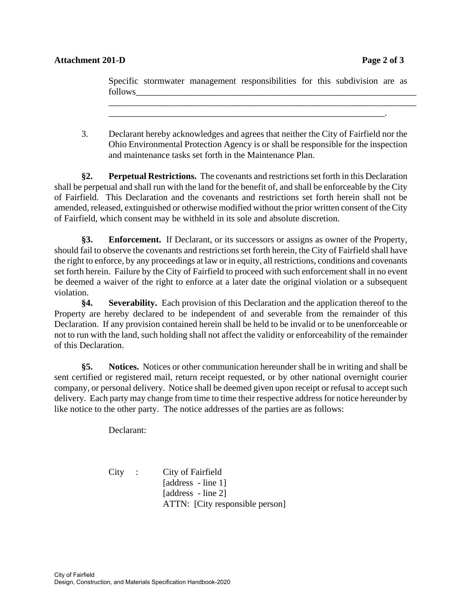Specific stormwater management responsibilities for this subdivision are as follows

\_\_\_\_\_\_\_\_\_\_\_\_\_\_\_\_\_\_\_\_\_\_\_\_\_\_\_\_\_\_\_\_\_\_\_\_\_\_\_\_\_\_\_\_\_\_\_\_\_\_\_\_\_\_\_\_\_\_\_\_\_\_\_\_\_\_\_\_

3. Declarant hereby acknowledges and agrees that neither the City of Fairfield nor the Ohio Environmental Protection Agency is or shall be responsible for the inspection and maintenance tasks set forth in the Maintenance Plan.

\_\_\_\_\_\_\_\_\_\_\_\_\_\_\_\_\_\_\_\_\_\_\_\_\_\_\_\_\_\_\_\_\_\_\_\_\_\_\_\_\_\_\_\_\_\_\_\_\_\_\_\_\_\_\_\_\_\_\_\_\_.

**§2. Perpetual Restrictions.** The covenants and restrictions set forth in this Declaration shall be perpetual and shall run with the land for the benefit of, and shall be enforceable by the City of Fairfield. This Declaration and the covenants and restrictions set forth herein shall not be amended, released, extinguished or otherwise modified without the prior written consent of the City of Fairfield, which consent may be withheld in its sole and absolute discretion.

**§3. Enforcement.** If Declarant, or its successors or assigns as owner of the Property, should fail to observe the covenants and restrictions set forth herein, the City of Fairfield shall have the right to enforce, by any proceedings at law or in equity, all restrictions, conditions and covenants set forth herein. Failure by the City of Fairfield to proceed with such enforcement shall in no event be deemed a waiver of the right to enforce at a later date the original violation or a subsequent violation.

**§4. Severability.** Each provision of this Declaration and the application thereof to the Property are hereby declared to be independent of and severable from the remainder of this Declaration. If any provision contained herein shall be held to be invalid or to be unenforceable or not to run with the land, such holding shall not affect the validity or enforceability of the remainder of this Declaration.

**§5. Notices.** Notices or other communication hereunder shall be in writing and shall be sent certified or registered mail, return receipt requested, or by other national overnight courier company, or personal delivery. Notice shall be deemed given upon receipt or refusal to accept such delivery. Each party may change from time to time their respective address for notice hereunder by like notice to the other party. The notice addresses of the parties are as follows:

Declarant:

City : City of Fairfield [address - line 1] [address - line 2] ATTN: [City responsible person]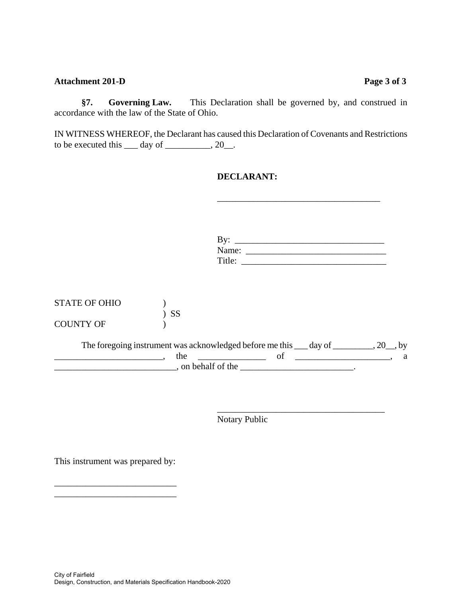#### Attachment 201-D Page 3 of 3

IN WITNESS WHEREOF, the Declarant has caused this Declaration of Covenants and Restrictions to be executed this  $\_\_\_$  day of  $\_\_\_\_\_\_$ , 20 $\_\_\_\_\$ .

## **DECLARANT:**

| By:    |  |
|--------|--|
| Name:  |  |
| Title: |  |

\_\_\_\_\_\_\_\_\_\_\_\_\_\_\_\_\_\_\_\_\_\_\_\_\_\_\_\_\_\_\_\_\_\_\_\_\_

| STATE OF OHIO |        |
|---------------|--------|
|               | $)$ SS |
| COUNTY OF     |        |

| The foregoing instrument was acknowledged before me this <u>separator</u> day of |                  |  |  |
|----------------------------------------------------------------------------------|------------------|--|--|
|                                                                                  | the              |  |  |
|                                                                                  | on behalf of the |  |  |

Notary Public

This instrument was prepared by:

\_\_\_\_\_\_\_\_\_\_\_\_\_\_\_\_\_\_\_\_\_\_\_\_\_\_\_ \_\_\_\_\_\_\_\_\_\_\_\_\_\_\_\_\_\_\_\_\_\_\_\_\_\_\_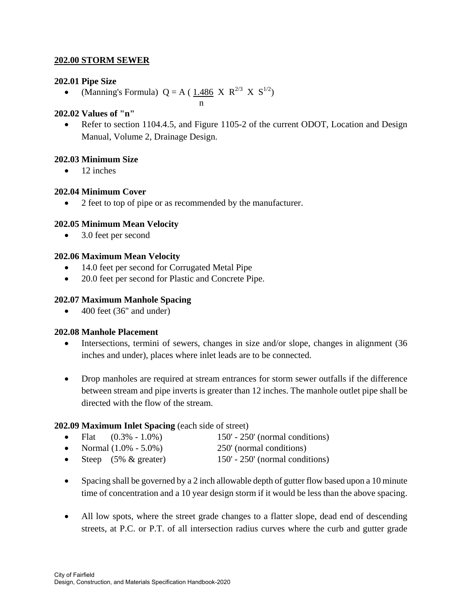## **202.00 STORM SEWER**

## **202.01 Pipe Size**

• (Manning's Formula)  $Q = A (1.486 \text{ X } R^{2/3} \text{ X } S^{1/2})$ 

n

# **202.02 Values of "n"**

• Refer to section 1104.4.5, and Figure 1105-2 of the current ODOT, Location and Design Manual, Volume 2, Drainage Design.

# **202.03 Minimum Size**

 $\bullet$  12 inches

# **202.04 Minimum Cover**

2 feet to top of pipe or as recommended by the manufacturer.

# **202.05 Minimum Mean Velocity**

• 3.0 feet per second

## **202.06 Maximum Mean Velocity**

- 14.0 feet per second for Corrugated Metal Pipe
- 20.0 feet per second for Plastic and Concrete Pipe.

# **202.07 Maximum Manhole Spacing**

 $\bullet$  400 feet (36" and under)

## **202.08 Manhole Placement**

- Intersections, termini of sewers, changes in size and/or slope, changes in alignment (36 inches and under), places where inlet leads are to be connected.
- Drop manholes are required at stream entrances for storm sewer outfalls if the difference between stream and pipe inverts is greater than 12 inches. The manhole outlet pipe shall be directed with the flow of the stream.

# **202.09 Maximum Inlet Spacing** (each side of street)

- Flat  $(0.3\% 1.0\%)$  150' 250' (normal conditions)
- Normal  $(1.0\% 5.0\%)$  250' (normal conditions)
- Steep  $(5\% \& \text{ greater})$  150' 250' (normal conditions)
- Spacing shall be governed by a 2 inch allowable depth of gutter flow based upon a 10 minute time of concentration and a 10 year design storm if it would be less than the above spacing.
- All low spots, where the street grade changes to a flatter slope, dead end of descending streets, at P.C. or P.T. of all intersection radius curves where the curb and gutter grade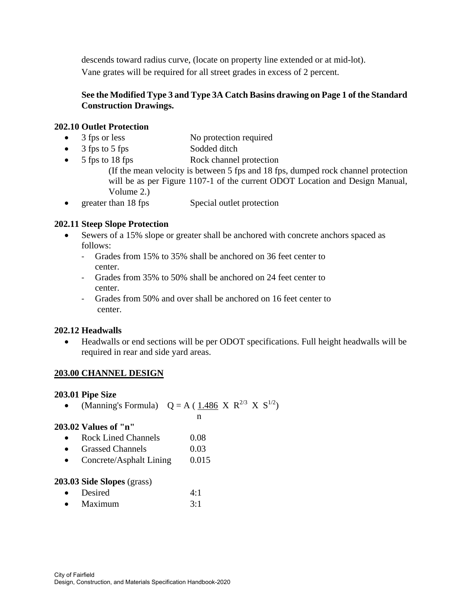descends toward radius curve, (locate on property line extended or at mid-lot). Vane grates will be required for all street grades in excess of 2 percent.

# **See the Modified Type 3 and Type 3A Catch Basins drawing on Page 1 of the Standard Construction Drawings.**

# **202.10 Outlet Protection**

- 3 fps or less No protection required
- 3 fps to 5 fps Sodded ditch
- 5 fps to 18 fps Rock channel protection
	- (If the mean velocity is between 5 fps and 18 fps, dumped rock channel protection will be as per Figure 1107-1 of the current ODOT Location and Design Manual, Volume 2.)
- greater than 18 fps Special outlet protection

# **202.11 Steep Slope Protection**

- Sewers of a 15% slope or greater shall be anchored with concrete anchors spaced as follows:
	- ‐ Grades from 15% to 35% shall be anchored on 36 feet center to center.
	- ‐ Grades from 35% to 50% shall be anchored on 24 feet center to center.
	- ‐ Grades from 50% and over shall be anchored on 16 feet center to center.

# **202.12 Headwalls**

 Headwalls or end sections will be per ODOT specifications. Full height headwalls will be required in rear and side yard areas.

## **203.00 CHANNEL DESIGN**

## **203.01 Pipe Size**

• (Manning's Formula)  $Q = A (1.486 \text{ X } R^{2/3} \text{ X } S^{1/2})$ 

#### n and the state of the state of the state of the state of the state of the state of the state of the state of the state of the state of the state of the state of the state of the state of the state of the state of the stat **203.02 Values of "n"**

- Rock Lined Channels 0.08
- Grassed Channels 0.03
- Concrete/Asphalt Lining 0.015

## **203.03 Side Slopes** (grass)

- Desired  $4:1$
- $\bullet$  Maximum  $3:1$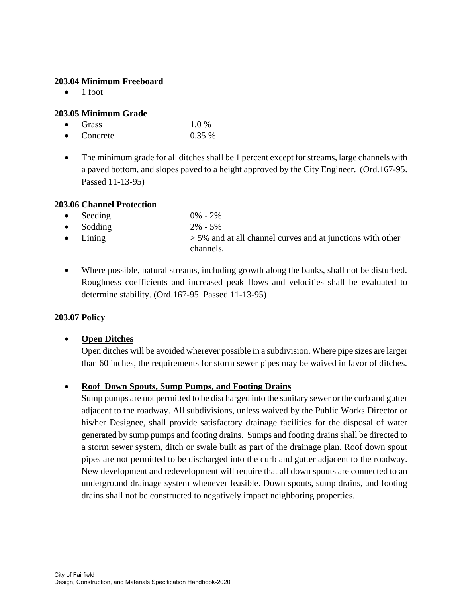#### **203.04 Minimum Freeboard**

 $\bullet$  1 foot

#### **203.05 Minimum Grade**

- Grass  $1.0\%$
- Concrete 0.35 %
- The minimum grade for all ditches shall be 1 percent except for streams, large channels with a paved bottom, and slopes paved to a height approved by the City Engineer. (Ord.167-95. Passed 11-13-95)

#### **203.06 Channel Protection**

| $\bullet$ Seeding | $0\% - 2\%$                                                  |
|-------------------|--------------------------------------------------------------|
| $\bullet$ Sodding | $2\% - 5\%$                                                  |
| $\bullet$ Lining  | $>$ 5% and at all channel curves and at junctions with other |
|                   | channels.                                                    |

 Where possible, natural streams, including growth along the banks, shall not be disturbed. Roughness coefficients and increased peak flows and velocities shall be evaluated to determine stability. (Ord.167-95. Passed 11-13-95)

## **203.07 Policy**

## **Open Ditches**

Open ditches will be avoided wherever possible in a subdivision. Where pipe sizes are larger than 60 inches, the requirements for storm sewer pipes may be waived in favor of ditches.

## **Roof Down Spouts, Sump Pumps, and Footing Drains**

Sump pumps are not permitted to be discharged into the sanitary sewer or the curb and gutter adjacent to the roadway. All subdivisions, unless waived by the Public Works Director or his/her Designee, shall provide satisfactory drainage facilities for the disposal of water generated by sump pumps and footing drains. Sumps and footing drains shall be directed to a storm sewer system, ditch or swale built as part of the drainage plan. Roof down spout pipes are not permitted to be discharged into the curb and gutter adjacent to the roadway. New development and redevelopment will require that all down spouts are connected to an underground drainage system whenever feasible. Down spouts, sump drains, and footing drains shall not be constructed to negatively impact neighboring properties.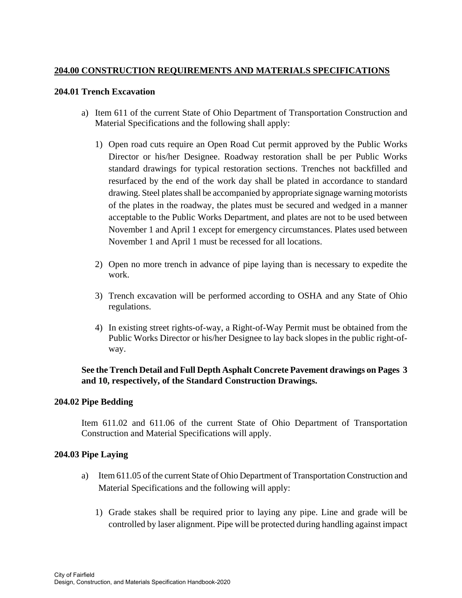## **204.00 CONSTRUCTION REQUIREMENTS AND MATERIALS SPECIFICATIONS**

#### **204.01 Trench Excavation**

- a) Item 611 of the current State of Ohio Department of Transportation Construction and Material Specifications and the following shall apply:
	- 1) Open road cuts require an Open Road Cut permit approved by the Public Works Director or his/her Designee. Roadway restoration shall be per Public Works standard drawings for typical restoration sections. Trenches not backfilled and resurfaced by the end of the work day shall be plated in accordance to standard drawing. Steel plates shall be accompanied by appropriate signage warning motorists of the plates in the roadway, the plates must be secured and wedged in a manner acceptable to the Public Works Department, and plates are not to be used between November 1 and April 1 except for emergency circumstances. Plates used between November 1 and April 1 must be recessed for all locations.
	- 2) Open no more trench in advance of pipe laying than is necessary to expedite the work.
	- 3) Trench excavation will be performed according to OSHA and any State of Ohio regulations.
	- 4) In existing street rights-of-way, a Right-of-Way Permit must be obtained from the Public Works Director or his/her Designee to lay back slopes in the public right-ofway.

## **See the Trench Detail and Full Depth Asphalt Concrete Pavement drawings on Pages 3 and 10, respectively, of the Standard Construction Drawings.**

## **204.02 Pipe Bedding**

Item 611.02 and 611.06 of the current State of Ohio Department of Transportation Construction and Material Specifications will apply.

## **204.03 Pipe Laying**

- a) Item 611.05 of the current State of Ohio Department of Transportation Construction and Material Specifications and the following will apply:
	- 1) Grade stakes shall be required prior to laying any pipe. Line and grade will be controlled by laser alignment. Pipe will be protected during handling against impact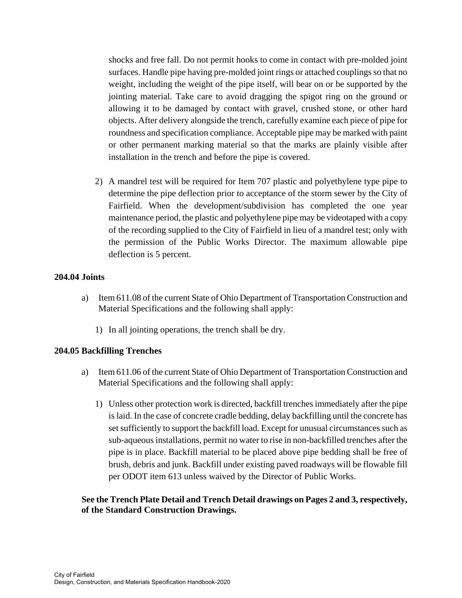shocks and free fall. Do not permit hooks to come in contact with pre-molded joint surfaces. Handle pipe having pre-molded joint rings or attached couplings so that no weight, including the weight of the pipe itself, will bear on or be supported by the jointing material. Take care to avoid dragging the spigot ring on the ground or allowing it to be damaged by contact with gravel, crushed stone, or other hard objects. After delivery alongside the trench, carefully examine each piece of pipe for roundness and specification compliance. Acceptable pipe may be marked with paint or other permanent marking material so that the marks are plainly visible after installation in the trench and before the pipe is covered.

2) A mandrel test will be required for Item 707 plastic and polyethylene type pipe to determine the pipe deflection prior to acceptance of the storm sewer by the City of Fairfield. When the development/subdivision has completed the one year maintenance period, the plastic and polyethylene pipe may be videotaped with a copy of the recording supplied to the City of Fairfield in lieu of a mandrel test; only with the permission of the Public Works Director. The maximum allowable pipe deflection is 5 percent.

#### **204.04 Joints**

- a) Item 611.08 of the current State of Ohio Department of Transportation Construction and Material Specifications and the following shall apply:
	- 1) In all jointing operations, the trench shall be dry.

## **204.05 Backfilling Trenches**

- a) Item 611.06 of the current State of Ohio Department of Transportation Construction and Material Specifications and the following shall apply:
	- 1) Unless other protection work is directed, backfill trenches immediately after the pipe is laid. In the case of concrete cradle bedding, delay backfilling until the concrete has set sufficiently to support the backfill load. Except for unusual circumstances such as sub-aqueous installations, permit no water to rise in non-backfilled trenches after the pipe is in place. Backfill material to be placed above pipe bedding shall be free of brush, debris and junk. Backfill under existing paved roadways will be flowable fill per ODOT item 613 unless waived by the Director of Public Works.

## **See the Trench Plate Detail and Trench Detail drawings on Pages 2 and 3, respectively, of the Standard Construction Drawings.**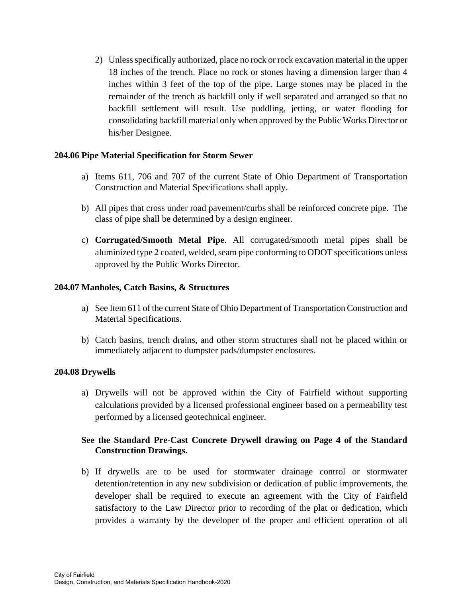2) Unless specifically authorized, place no rock or rock excavation material in the upper 18 inches of the trench. Place no rock or stones having a dimension larger than 4 inches within 3 feet of the top of the pipe. Large stones may be placed in the remainder of the trench as backfill only if well separated and arranged so that no backfill settlement will result. Use puddling, jetting, or water flooding for consolidating backfill material only when approved by the Public Works Director or his/her Designee.

#### **204.06 Pipe Material Specification for Storm Sewer**

- a) Items 611, 706 and 707 of the current State of Ohio Department of Transportation Construction and Material Specifications shall apply.
- b) All pipes that cross under road pavement/curbs shall be reinforced concrete pipe. The class of pipe shall be determined by a design engineer.
- c) **Corrugated/Smooth Metal Pipe**. All corrugated/smooth metal pipes shall be aluminized type 2 coated, welded, seam pipe conforming to ODOT specifications unless approved by the Public Works Director.

#### **204.07 Manholes, Catch Basins, & Structures**

- a) See Item 611 of the current State of Ohio Department of Transportation Construction and Material Specifications.
- b) Catch basins, trench drains, and other storm structures shall not be placed within or immediately adjacent to dumpster pads/dumpster enclosures.

#### **204.08 Drywells**

a) Drywells will not be approved within the City of Fairfield without supporting calculations provided by a licensed professional engineer based on a permeability test performed by a licensed geotechnical engineer.

## **See the Standard Pre-Cast Concrete Drywell drawing on Page 4 of the Standard Construction Drawings.**

b) If drywells are to be used for stormwater drainage control or stormwater detention/retention in any new subdivision or dedication of public improvements, the developer shall be required to execute an agreement with the City of Fairfield satisfactory to the Law Director prior to recording of the plat or dedication, which provides a warranty by the developer of the proper and efficient operation of all